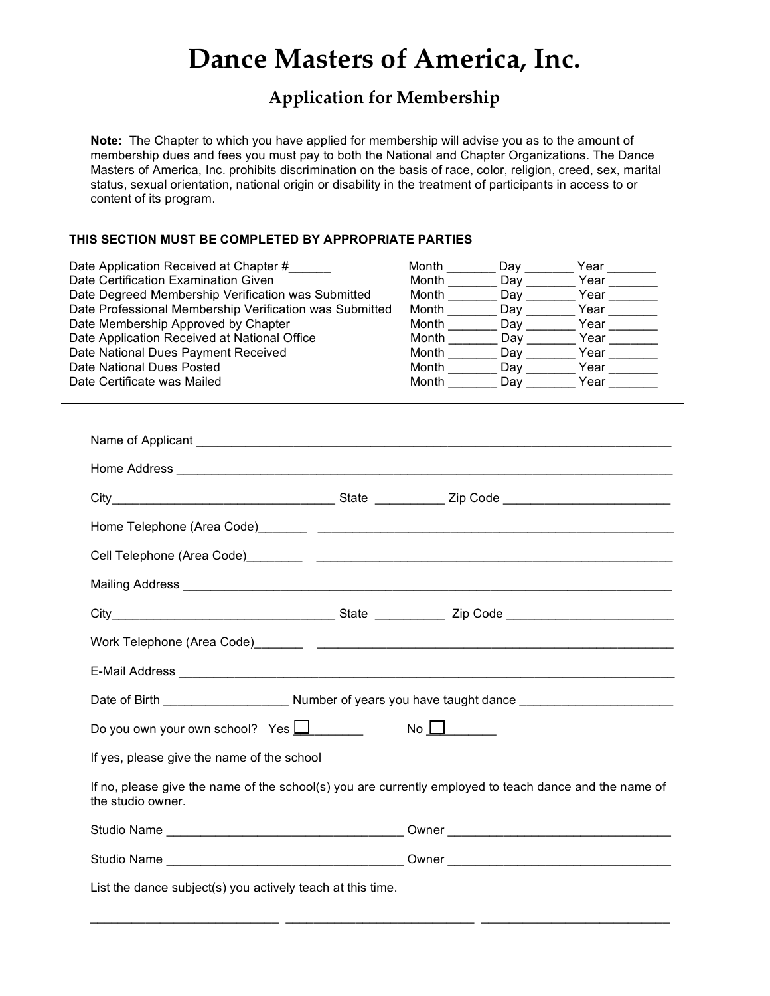# **Dance Masters of America, Inc.**

# **Application for Membership**

**Note:** The Chapter to which you have applied for membership will advise you as to the amount of membership dues and fees you must pay to both the National and Chapter Organizations. The Dance Masters of America, Inc. prohibits discrimination on the basis of race, color, religion, creed, sex, marital status, sexual orientation, national origin or disability in the treatment of participants in access to or content of its program.

| THIS SECTION MUST BE COMPLETED BY APPROPRIATE PARTIES                                                                       |             |                                                             |
|-----------------------------------------------------------------------------------------------------------------------------|-------------|-------------------------------------------------------------|
| Date Application Received at Chapter #                                                                                      |             | Month __________ Day _________ Year ________                |
| Date Certification Examination Given                                                                                        |             | Month __________ Day _________ Year ________                |
| Date Degreed Membership Verification was Submitted                                                                          |             | Month __________ Day _________ Year ________                |
| Date Professional Membership Verification was Submitted                                                                     |             | Month _________ Day ________ Year _______                   |
| Date Membership Approved by Chapter                                                                                         |             | Month ___________ Day ___________ Year _________            |
| Date Application Received at National Office                                                                                |             | Year _______                                                |
| Date National Dues Payment Received<br>Date National Dues Posted                                                            |             | Month _________Day _________ Year _______<br>Month Day Year |
| Date Certificate was Mailed                                                                                                 |             | Month Day Year                                              |
|                                                                                                                             |             |                                                             |
|                                                                                                                             |             |                                                             |
|                                                                                                                             |             |                                                             |
|                                                                                                                             |             |                                                             |
|                                                                                                                             |             |                                                             |
|                                                                                                                             |             |                                                             |
|                                                                                                                             |             |                                                             |
|                                                                                                                             |             |                                                             |
|                                                                                                                             |             |                                                             |
|                                                                                                                             |             |                                                             |
|                                                                                                                             |             |                                                             |
|                                                                                                                             |             |                                                             |
| Do you own your own school? Yes $\square$                                                                                   | $No$ $\Box$ |                                                             |
|                                                                                                                             |             |                                                             |
| If no, please give the name of the school(s) you are currently employed to teach dance and the name of<br>the studio owner. |             |                                                             |
|                                                                                                                             |             |                                                             |
|                                                                                                                             |             |                                                             |
| List the dance subject(s) you actively teach at this time.                                                                  |             |                                                             |

 $\_$  , and the set of the set of the set of the set of the set of the set of the set of the set of the set of the set of the set of the set of the set of the set of the set of the set of the set of the set of the set of th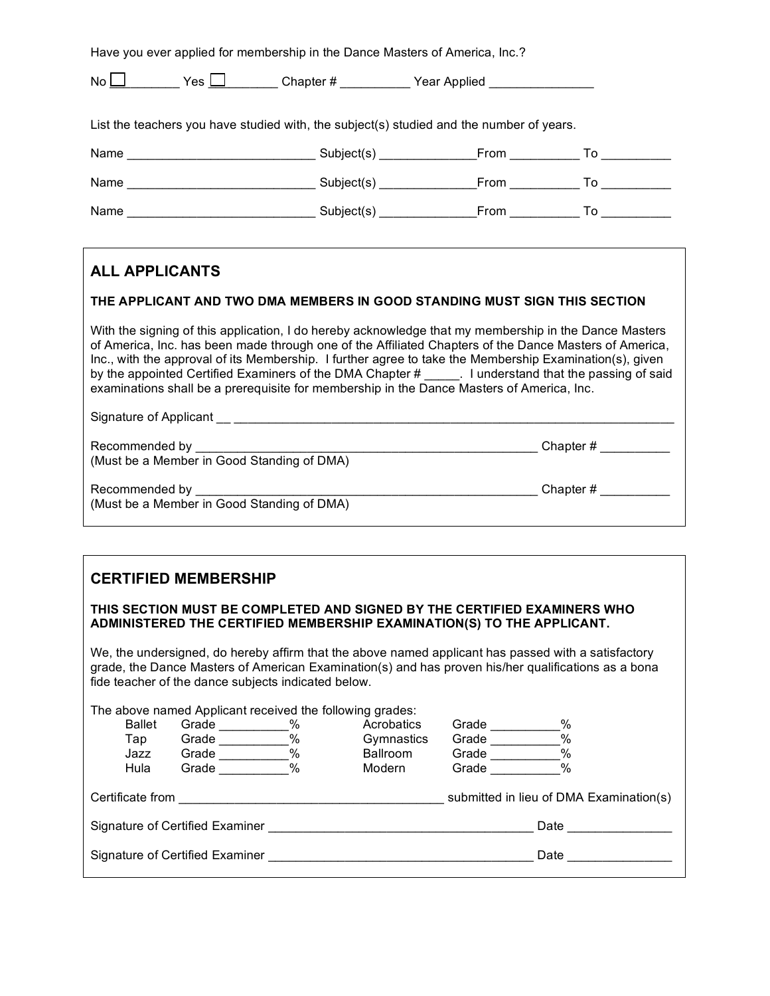| Have you ever applied for membership in the Dance Masters of America, Inc.? |              |          |              |  |
|-----------------------------------------------------------------------------|--------------|----------|--------------|--|
| No                                                                          | Yes $\Gamma$ | Chapter# | Year Applied |  |

List the teachers you have studied with, the subject(s) studied and the number of years.

| Name | Subject(s) | From        | ٢o |
|------|------------|-------------|----|
| Name | Subject(s) | From        | To |
| Name | Subject(s) | <b>From</b> | To |

# **ALL APPLICANTS**

#### **THE APPLICANT AND TWO DMA MEMBERS IN GOOD STANDING MUST SIGN THIS SECTION**

With the signing of this application, I do hereby acknowledge that my membership in the Dance Masters of America, Inc. has been made through one of the Affiliated Chapters of the Dance Masters of America, Inc., with the approval of its Membership. I further agree to take the Membership Examination(s), given by the appointed Certified Examiners of the DMA Chapter # \_\_\_\_\_. I understand that the passing of said examinations shall be a prerequisite for membership in the Dance Masters of America, Inc.

Signature of Applicant \_\_ \_\_\_\_\_\_\_\_\_\_\_\_\_\_\_\_\_\_\_\_\_\_\_\_\_\_\_\_\_\_\_\_\_\_\_\_\_\_\_\_\_\_\_\_\_\_\_\_\_\_\_\_\_\_\_\_\_\_\_\_\_\_\_

Recommended by \_\_\_\_\_\_\_\_\_\_\_\_\_\_\_\_\_\_\_\_\_\_\_\_\_\_\_\_\_\_\_\_\_\_\_\_\_\_\_\_\_\_\_\_\_\_\_\_\_ Chapter # \_\_\_\_\_\_\_\_\_\_ (Must be a Member in Good Standing of DMA)

Recommended by **Example 1** and the set of the set of the set of the set of the Second Euler and Chapter #  $\sim$ (Must be a Member in Good Standing of DMA)

## **CERTIFIED MEMBERSHIP**

#### **THIS SECTION MUST BE COMPLETED AND SIGNED BY THE CERTIFIED EXAMINERS WHO ADMINISTERED THE CERTIFIED MEMBERSHIP EXAMINATION(S) TO THE APPLICANT.**

We, the undersigned, do hereby affirm that the above named applicant has passed with a satisfactory grade, the Dance Masters of American Examination(s) and has proven his/her qualifications as a bona fide teacher of the dance subjects indicated below.

|                                         | The above named Applicant received the following grades: |               |                 |       |                                         |
|-----------------------------------------|----------------------------------------------------------|---------------|-----------------|-------|-----------------------------------------|
| <b>Ballet</b>                           | Grade                                                    | $\frac{0}{0}$ | Acrobatics      | Grade | %                                       |
| Тар                                     | Grade                                                    | %             | Gymnastics      | Grade | $\%$                                    |
| Jazz                                    | Grade                                                    | %             | <b>Ballroom</b> | Grade | $\%$                                    |
| Hula                                    | Grade                                                    | $\%$          | Modern          | Grade | $\%$                                    |
| Certificate from                        |                                                          |               |                 |       | submitted in lieu of DMA Examination(s) |
| Signature of Certified Examiner<br>Date |                                                          |               |                 |       |                                         |
| Signature of Certified Examiner<br>Date |                                                          |               |                 |       |                                         |